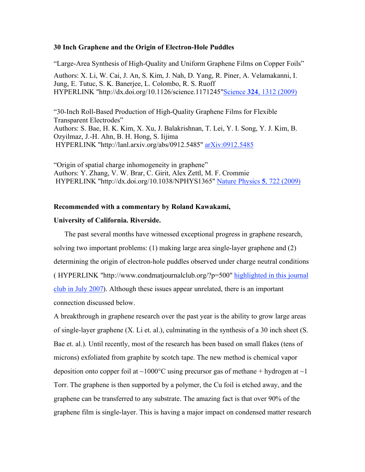## **30 Inch Graphene and the Origin of Electron-Hole Puddles**

"Large-Area Synthesis of High-Quality and Uniform Graphene Films on Copper Foils" Authors: X. Li, W. Cai, J. An, S. Kim, J. Nah, D. Yang, R. Piner, A. Velamakanni, I. Jung, E. Tutuc, S. K. Banerjee, L. Colombo, R. S. Ruoff HYPERLINK "http://dx.doi.org/10.1126/science.1171245"Science **324**, 1312 (2009)

"30-Inch Roll-Based Production of High-Quality Graphene Films for Flexible Transparent Electrodes" Authors: S. Bae, H. K. Kim, X. Xu, J. Balakrishnan, T. Lei, Y. I. Song, Y. J. Kim, B. Ozyilmaz, J.-H. Ahn, B. H. Hong, S. Iijima HYPERLINK "http://lanl.arxiv.org/abs/0912.5485" arXiv:0912.5485

"Origin of spatial charge inhomogeneity in graphene" Authors: Y. Zhang, V. W. Brar, C. Girit, Alex Zettl, M. F. Crommie HYPERLINK "http://dx.doi.org/10.1038/NPHYS1365" Nature Physics **5**, 722 (2009)

## **Recommended with a commentary by Roland Kawakami,**

## **University of California. Riverside.**

The past several months have witnessed exceptional progress in graphene research, solving two important problems: (1) making large area single-layer graphene and (2) determining the origin of electron-hole puddles observed under charge neutral conditions ( HYPERLINK "http://www.condmatjournalclub.org/?p=500" highlighted in this journal club in July 2007). Although these issues appear unrelated, there is an important connection discussed below.

A breakthrough in graphene research over the past year is the ability to grow large areas of single-layer graphene (X. Li et. al.), culminating in the synthesis of a 30 inch sheet (S. Bae et. al.). Until recently, most of the research has been based on small flakes (tens of microns) exfoliated from graphite by scotch tape. The new method is chemical vapor deposition onto copper foil at  $\sim 1000^{\circ}$ C using precursor gas of methane + hydrogen at  $\sim 1$ Torr. The graphene is then supported by a polymer, the Cu foil is etched away, and the graphene can be transferred to any substrate. The amazing fact is that over 90% of the graphene film is single-layer. This is having a major impact on condensed matter research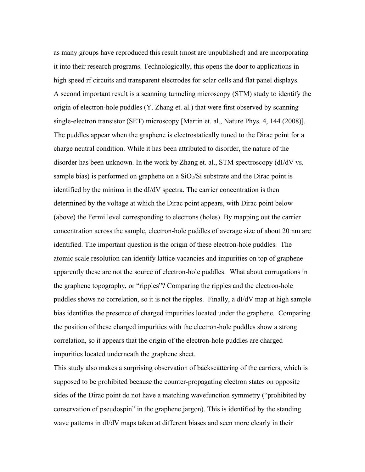as many groups have reproduced this result (most are unpublished) and are incorporating it into their research programs. Technologically, this opens the door to applications in high speed rf circuits and transparent electrodes for solar cells and flat panel displays. A second important result is a scanning tunneling microscopy (STM) study to identify the origin of electron-hole puddles (Y. Zhang et. al.) that were first observed by scanning single-electron transistor (SET) microscopy [Martin et. al., Nature Phys. 4, 144 (2008)]. The puddles appear when the graphene is electrostatically tuned to the Dirac point for a charge neutral condition. While it has been attributed to disorder, the nature of the disorder has been unknown. In the work by Zhang et. al., STM spectroscopy (dI/dV vs. sample bias) is performed on graphene on a  $SiO<sub>2</sub>/Si$  substrate and the Dirac point is identified by the minima in the dI/dV spectra. The carrier concentration is then determined by the voltage at which the Dirac point appears, with Dirac point below (above) the Fermi level corresponding to electrons (holes). By mapping out the carrier concentration across the sample, electron-hole puddles of average size of about 20 nm are identified. The important question is the origin of these electron-hole puddles. The atomic scale resolution can identify lattice vacancies and impurities on top of graphene apparently these are not the source of electron-hole puddles. What about corrugations in the graphene topography, or "ripples"? Comparing the ripples and the electron-hole puddles shows no correlation, so it is not the ripples. Finally, a dI/dV map at high sample bias identifies the presence of charged impurities located under the graphene. Comparing the position of these charged impurities with the electron-hole puddles show a strong correlation, so it appears that the origin of the electron-hole puddles are charged impurities located underneath the graphene sheet.

This study also makes a surprising observation of backscattering of the carriers, which is supposed to be prohibited because the counter-propagating electron states on opposite sides of the Dirac point do not have a matching wavefunction symmetry ("prohibited by conservation of pseudospin" in the graphene jargon). This is identified by the standing wave patterns in dI/dV maps taken at different biases and seen more clearly in their